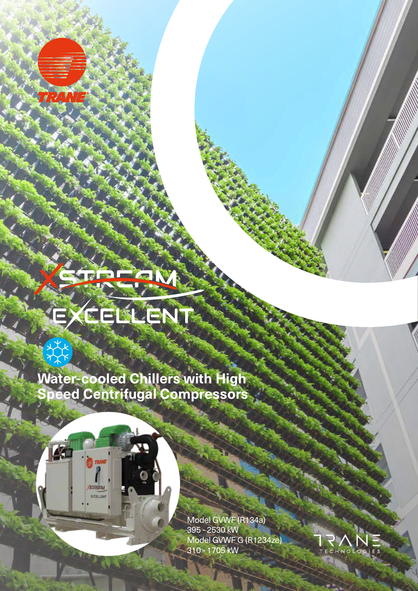TRANTE

类

A<sub>d</sub>

**STREAM EXELEN** 

## CELLENT E

**Water-cooled Chillers with High Speed Centrifugal Compressors**

> Model GVWF (R134a) 395 - 2530 kW Model GVWF G (R1234ze) 310 - 1705 kW

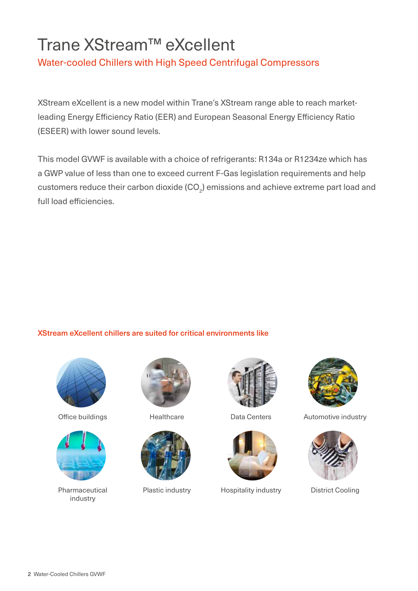## Trane XStream™ eXcellent

Water-cooled Chillers with High Speed Centrifugal Compressors

XStream eXcellent is a new model within Trane's XStream range able to reach marketleading Energy Efficiency Ratio (EER) and European Seasonal Energy Efficiency Ratio (ESEER) with lower sound levels.

This model GVWF is available with a choice of refrigerants: R134a or R1234ze which has a GWP value of less than one to exceed current F-Gas legislation requirements and help customers reduce their carbon dioxide (CO $_{\textrm{\tiny{2}}}$ ) emissions and achieve extreme part load and full load efficiencies.

## XStream eXcellent chillers are suited for critical environments like





Pharmaceutical industry









Plastic industry **Hospitality industry** District Cooling



Office buildings Thealthcare Theath Data Centers Automotive industry

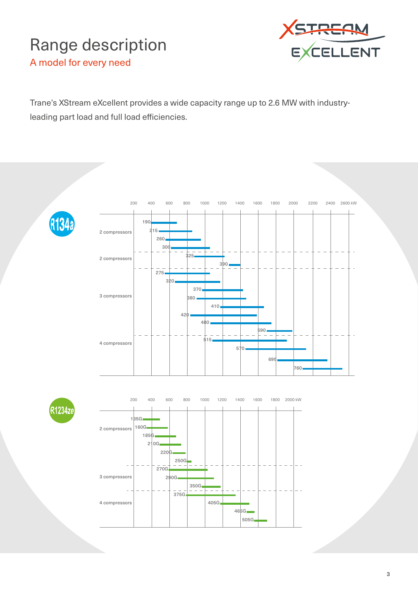## Range description



A model for every need

Trane's XStream eXcellent provides a wide capacity range up to 2.6 MW with industryleading part load and full load efficiencies.







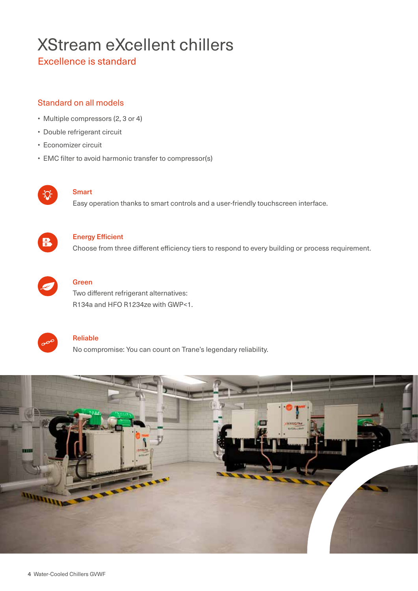## XStream eXcellent chillers

Excellence is standard

## Standard on all models

- Multiple compressors (2, 3 or 4)
- Double refrigerant circuit
- Economizer circuit
- EMC filter to avoid harmonic transfer to compressor(s)



#### **Smart**

Easy operation thanks to smart controls and a user-friendly touchscreen interface.



#### Energy Efficient

Choose from three different efficiency tiers to respond to every building or process requirement.



## Green

Two different refrigerant alternatives: R134a and HFO R1234ze with GWP<1.



#### Reliable

No compromise: You can count on Trane's legendary reliability.

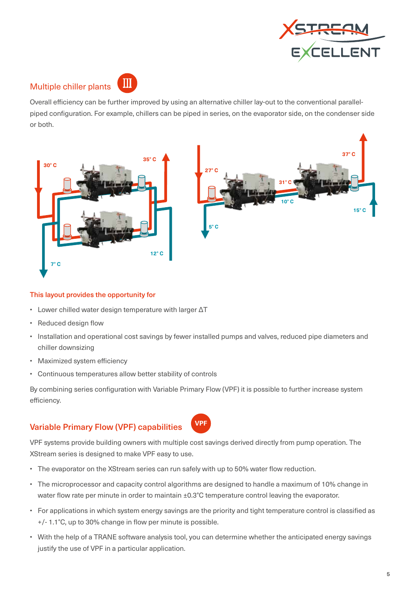

## Multiple chiller plants



Overall efficiency can be further improved by using an alternative chiller lay-out to the conventional parallelpiped configuration. For example, chillers can be piped in series, on the evaporator side, on the condenser side or both.



#### This layout provides the opportunity for

- Lower chilled water design temperature with larger ΔT
- Reduced design flow
- Installation and operational cost savings by fewer installed pumps and valves, reduced pipe diameters and chiller downsizing
- Maximized system efficiency
- Continuous temperatures allow better stability of controls

By combining series configuration with Variable Primary Flow (VPF) it is possible to further increase system efficiency.

## **Variable Primary Flow (VPF) capabilities**



VPF systems provide building owners with multiple cost savings derived directly from pump operation. The XStream series is designed to make VPF easy to use.

- The evaporator on the XStream series can run safely with up to 50% water flow reduction.
- The microprocessor and capacity control algorithms are designed to handle a maximum of 10% change in water flow rate per minute in order to maintain ±0.3°C temperature control leaving the evaporator.
- For applications in which system energy savings are the priority and tight temperature control is classified as +/- 1.1°C, up to 30% change in flow per minute is possible.
- With the help of a TRANE software analysis tool, you can determine whether the anticipated energy savings justify the use of VPF in a particular application.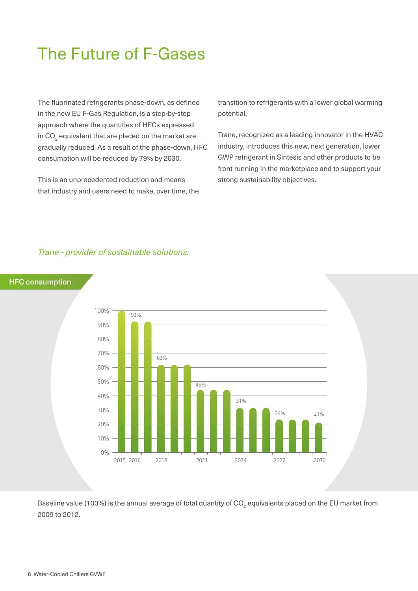## The Future of F-Gases

The fluorinated refrigerants phase-down, as defined in the new EU F-Gas Regulation, is a step-by-step approach where the quantities of HFCs expressed in CO $_{\tiny 2}$  equivalent that are placed on the market are gradually reduced. As a result of the phase-down, HFC consumption will be reduced by 79% by 2030.

This is an unprecedented reduction and means that industry and users need to make, over time, the transition to refrigerants with a lower global warming potential.

Trane, recognized as a leading innovator in the HVAC industry, introduces this new, next generation, lower GWP refrigerant in Sintesis and other products to be front running in the marketplace and to support your strong sustainability objectives.

#### *Trane - provider of sustainable solutions.*

#### HFC consumption



Baseline value (100%) is the annual average of total quantity of CO $_{_2}$  equivalents placed on the EU market from 2009 to 2012.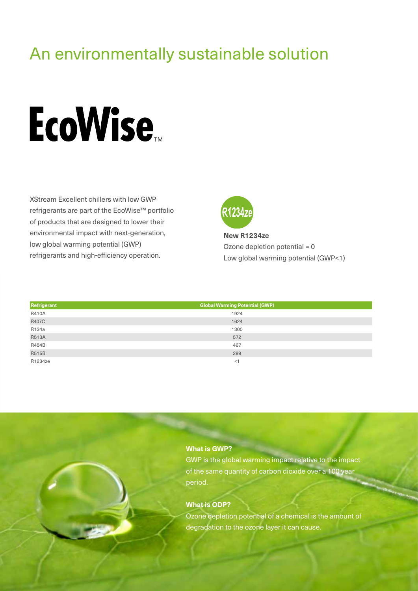## An environmentally sustainable solution

# **EcoWise**

XStream Excellent chillers with low GWP refrigerants are part of the EcoWise™ portfolio of products that are designed to lower their environmental impact with next-generation, low global warming potential (GWP) refrigerants and high-efficiency operation.



**New R1234ze** Ozone depletion potential = 0 Low global warming potential (GWP<1)

| Refrigerant  | <b>Global Warming Potential (GWP)</b> |  |
|--------------|---------------------------------------|--|
| <b>R410A</b> | 1924                                  |  |
| <b>R407C</b> | 1624                                  |  |
| R134a        | 1300                                  |  |
| <b>R513A</b> | 572                                   |  |
| R454B        | 467                                   |  |
| <b>R515B</b> | 299                                   |  |
| R1234ze      | - < 1                                 |  |



GWP is the global warming impact relative to the impact of the same quantity of carbon dioxide over a 100 year period.

#### **What is ODP?**

Ozone depletion potential of a chemical is the amount of degradation to the ozone layer it can cause.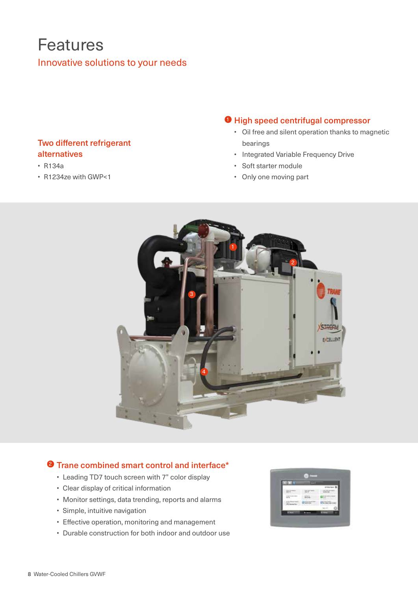## Features Innovative solutions to your needs

## Two different refrigerant alternatives

- R134a
- R1234ze with GWP<1

## **D** High speed centrifugal compressor

- Oil free and silent operation thanks to magnetic bearings
- Integrated Variable Frequency Drive
- Soft starter module
- Only one moving part



## <sup>2</sup> Trane combined smart control and interface\*

- Leading TD7 touch screen with 7" color display
- Clear display of critical information
- Monitor settings, data trending, reports and alarms
- Simple, intuitive navigation
- Effective operation, monitoring and management
- Durable construction for both indoor and outdoor use

| <b>DELLES</b>                                                                                                                                                                                                                                                                                                                                                                                                                                        | æ |        |
|------------------------------------------------------------------------------------------------------------------------------------------------------------------------------------------------------------------------------------------------------------------------------------------------------------------------------------------------------------------------------------------------------------------------------------------------------|---|--------|
|                                                                                                                                                                                                                                                                                                                                                                                                                                                      |   |        |
|                                                                                                                                                                                                                                                                                                                                                                                                                                                      |   |        |
|                                                                                                                                                                                                                                                                                                                                                                                                                                                      |   |        |
| $\frac{1}{2} \left( \frac{1}{2} \right)^{2} \left( \frac{1}{2} \right)^{2} \left( \frac{1}{2} \right)^{2} \left( \frac{1}{2} \right)^{2} \left( \frac{1}{2} \right)^{2} \left( \frac{1}{2} \right)^{2} \left( \frac{1}{2} \right)^{2} \left( \frac{1}{2} \right)^{2} \left( \frac{1}{2} \right)^{2} \left( \frac{1}{2} \right)^{2} \left( \frac{1}{2} \right)^{2} \left( \frac{1}{2} \right)^{2} \left( \frac{1}{2} \right)^{2} \left( \frac$<br>- 7 |   | a pr   |
|                                                                                                                                                                                                                                                                                                                                                                                                                                                      |   |        |
| œ                                                                                                                                                                                                                                                                                                                                                                                                                                                    |   | $\sim$ |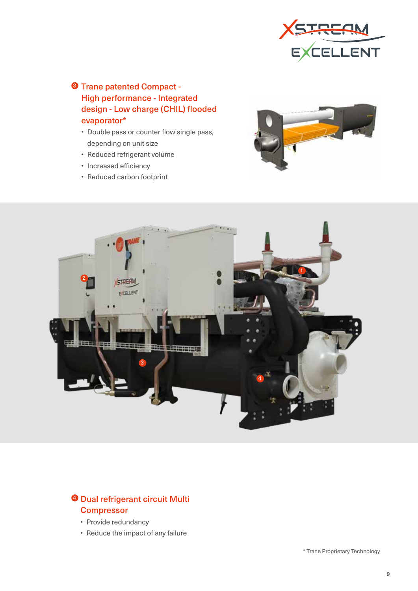

## **3** Trane patented Compact -High performance - Integrated design - Low charge (CHIL) flooded evaporator\*

- Double pass or counter flow single pass, depending on unit size
- Reduced refrigerant volume
- Increased efficiency
- Reduced carbon footprint





## <sup>4</sup> Dual refrigerant circuit Multi **Compressor**

- Provide redundancy
- Reduce the impact of any failure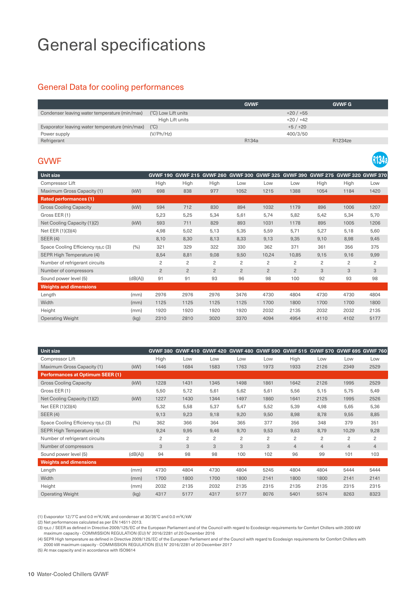## General specifications

## General Data for cooling performances

|                                                |                     | <b>GVWF</b> | <b>GVWF G</b> |
|------------------------------------------------|---------------------|-------------|---------------|
| Condenser leaving water temperature (min/max)  | (°C) Low Lift units | $+20/+55$   |               |
|                                                | High Lift units     | $+20/+42$   |               |
| Evaporator leaving water temperature (min/max) | $(^{\circ}C)$       | $+5/+20$    |               |
| Power supply                                   | (V/Ph/Hz)           | 400/3/50    |               |
| Refrigerant                                    |                     | R134a       | R1234ze       |

134a

## GVWF

| Unit size                         |         | <b>GVWF 190</b> | <b>GVWF 215</b> | <b>GVWF 260</b> | <b>GVWF 300</b> | <b>GVWF 325</b> | <b>GVWF 390</b> |                | GVWF 275 GVWF 320 GVWF 370 |                |
|-----------------------------------|---------|-----------------|-----------------|-----------------|-----------------|-----------------|-----------------|----------------|----------------------------|----------------|
| Compressor Lift                   |         | High            | High            | High            | Low             | Low             | Low             | High           | High                       | Low            |
| Maximum Gross Capacity (1)        | (kW)    | 698             | 838             | 977             | 1052            | 1215            | 1388            | 1054           | 1184                       | 1420           |
| <b>Rated performances (1)</b>     |         |                 |                 |                 |                 |                 |                 |                |                            |                |
| <b>Gross Cooling Capacity</b>     | (kW)    | 594             | 712             | 830             | 894             | 1032            | 1179            | 896            | 1006                       | 1207           |
| Gross EER (1)                     |         | 5,23            | 5,25            | 5,34            | 5,61            | 5,74            | 5,82            | 5,42           | 5,34                       | 5,70           |
| Net Cooling Capacity (1)(2)       | (kW)    | 593             | 711             | 829             | 893             | 1031            | 1178            | 895            | 1005                       | 1206           |
| Net EER (1)(3)(4)                 |         | 4,98            | 5,02            | 5,13            | 5,35            | 5,59            | 5,71            | 5,27           | 5,18                       | 5,60           |
| SEER $(4)$                        |         | 8,10            | 8,30            | 8,13            | 8,33            | 9,13            | 9,35            | 9,10           | 8,98                       | 9,45           |
| Space Cooling Efficiency ns,c (3) | (9/6)   | 321             | 329             | 322             | 330             | 362             | 371             | 361            | 356                        | 375            |
| SEPR High Temperature (4)         |         | 8,54            | 8,81            | 9,08            | 9,50            | 10,24           | 10,85           | 9,15           | 9,16                       | 9,99           |
| Number of refrigerant circuits    |         | 2               | 2               | 2               | 2               | 2               | $\overline{c}$  | $\overline{c}$ | $\overline{c}$             | $\overline{c}$ |
| Number of compressors             |         | $\overline{c}$  | $\overline{2}$  | $\overline{2}$  | $\overline{2}$  | $\overline{2}$  | $\overline{2}$  | 3              | 3                          | 3              |
| Sound power level (5)             | (dB(A)) | 91              | 91              | 93              | 96              | 98              | 100             | 92             | 93                         | 98             |
| <b>Weights and dimensions</b>     |         |                 |                 |                 |                 |                 |                 |                |                            |                |
| Length                            | (mm)    | 2976            | 2976            | 2976            | 3476            | 4730            | 4804            | 4730           | 4730                       | 4804           |
| Width                             | (mm)    | 1125            | 1125            | 1125            | 1125            | 1700            | 1800            | 1700           | 1700                       | 1800           |
| Height                            | (mm)    | 1920            | 1920            | 1920            | 1920            | 2032            | 2135            | 2032           | 2032                       | 2135           |
| <b>Operating Weight</b>           | (kg)    | 2310            | 2810            | 3020            | 3370            | 4094            | 4954            | 4110           | 4102                       | 5177           |

| <b>Unit size</b>                        |         | <b>GVWF 380</b> |      | <b>GVWF 410 GVWF 420</b> | <b>GVWF 480</b> | <b>GVWF 590</b> |                | GVWF 515 GVWF 570 | <b>GVWF 695 GVWF 760</b> |                |
|-----------------------------------------|---------|-----------------|------|--------------------------|-----------------|-----------------|----------------|-------------------|--------------------------|----------------|
| Compressor Lift                         |         | High            | Low  | Low                      | Low             | Low             | High           | Low               | Low                      | Low            |
| Maximum Gross Capacity (1)              | (kW)    | 1446            | 1684 | 1583                     | 1763            | 1973            | 1933           | 2126              | 2349                     | 2529           |
| <b>Performances at Optimum SEER (1)</b> |         |                 |      |                          |                 |                 |                |                   |                          |                |
| <b>Gross Cooling Capacity</b>           | (kW)    | 1228            | 1431 | 1345                     | 1498            | 1861            | 1642           | 2126              | 1995                     | 2529           |
| Gross EER (1)                           |         | 5,50            | 5,72 | 5,61                     | 5,62            | 5,61            | 5,56           | 5,15              | 5,75                     | 5,49           |
| Net Cooling Capacity (1)(2)             | (kW)    | 1227            | 1430 | 1344                     | 1497            | 1860            | 1641           | 2125              | 1995                     | 2526           |
| Net EER (1)(3)(4)                       |         | 5,32            | 5,58 | 5,37                     | 5,47            | 5,52            | 5,39           | 4,98              | 5,65                     | 5,36           |
| SEER(4)                                 |         | 9,13            | 9,23 | 9,18                     | 9,20            | 9,50            | 8,98           | 8,78              | 9,55                     | 8,85           |
| Space Cooling Efficiency ns,c (3)       | (9/0)   | 362             | 366  | 364                      | 365             | 377             | 356            | 348               | 379                      | 351            |
| SEPR High Temperature (4)               |         | 9,24            | 9,95 | 9,46                     | 9,70            | 9,53            | 9,63           | 8,79              | 10,29                    | 9,28           |
| Number of refrigerant circuits          |         | $\overline{c}$  | 2    | 2                        | 2               | $\overline{c}$  | 2              | 2                 | 2                        | 2              |
| Number of compressors                   |         | 3               | 3    | 3                        | 3               | 3               | $\overline{4}$ | 4                 | $\overline{4}$           | $\overline{4}$ |
| Sound power level (5)                   | (dB(A)) | 94              | 98   | 98                       | 100             | 102             | 96             | 99                | 101                      | 103            |
| <b>Weights and dimensions</b>           |         |                 |      |                          |                 |                 |                |                   |                          |                |
| Length                                  | (mm)    | 4730            | 4804 | 4730                     | 4804            | 5245            | 4804           | 4804              | 5444                     | 5444           |
| Width                                   | (mm)    | 1700            | 1800 | 1700                     | 1800            | 2141            | 1800           | 1800              | 2141                     | 2141           |
| Height                                  | (mm)    | 2032            | 2135 | 2032                     | 2135            | 2315            | 2135           | 2135              | 2315                     | 2315           |
| <b>Operating Weight</b>                 | (kg)    | 4317            | 5177 | 4317                     | 5177            | 8076            | 5401           | 5574              | 8263                     | 8323           |

(1) Evaporator 12/7°C and 0.0 m2 K/kW, and condenser at 30/35°C and 0.0 m2 K/kW

(2) Net performances calculated as per EN 14511-2013.

(3) ηs,c / SEER as defined in Directive 2009/125/EC of the European Parliament and of the Council with regard to Ecodesign requirements for Comfort Chillers with 2000 kW maximum capacity - COMMISSION REGULATION (EU) N° 2016/2281 of 20 December 2016

(4) SEPR High temperature as defined in Directive 2009/125/EC of the European Parliament and of the Council with regard to Ecodesign requirements for Comfort Chillers with 2000 kW maximum capacity - COMMISSION REGULATION (EU) N° 2016/2281 of 20 December 2017

(5) At max capacity and in accordance with ISO9614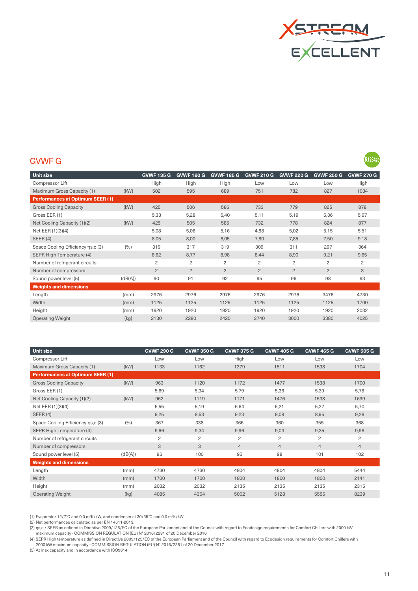

**R1234ze** 

## GVWF G

| Unit size                               |         | <b>GVWF 135 G</b> | <b>GVWF 160 G</b> | <b>GVWF 185 G</b> | <b>GVWF 210 G</b> | <b>GVWF 220 G</b> | <b>GVWF 250 G</b> | <b>GVWF 270 G</b> |
|-----------------------------------------|---------|-------------------|-------------------|-------------------|-------------------|-------------------|-------------------|-------------------|
| Compressor Lift                         |         | High              | High              | High              | Low               | Low               | Low               | High              |
| Maximum Gross Capacity (1)              | (kW)    | 502               | 595               | 689               | 751               | 782               | 827               | 1034              |
| <b>Performances at Optimum SEER (1)</b> |         |                   |                   |                   |                   |                   |                   |                   |
| <b>Gross Cooling Capacity</b>           | (kW)    | 425               | 506               | 586               | 733               | 779               | 825               | 878               |
| Gross EER (1)                           |         | 5,33              | 5,28              | 5,40              | 5,11              | 5,19              | 5,36              | 5,67              |
| Net Cooling Capacity (1)(2)             | (kW)    | 425               | 505               | 585               | 732               | 778               | 824               | 877               |
| Net EER (1)(3)(4)                       |         | 5,08              | 5,06              | 5,16              | 4,88              | 5,02              | 5,15              | 5,51              |
| SEER(4)                                 |         | 8,05              | 8,00              | 8,05              | 7,80              | 7,85              | 7,50              | 9,18              |
| Space Cooling Efficiency ns,c (3)       | (9/6)   | 319               | 317               | 319               | 309               | 311               | 297               | 364               |
| SEPR High Temperature (4)               |         | 8,62              | 8,77              | 8,98              | 8,44              | 8,90              | 9,21              | 9,65              |
| Number of refrigerant circuits          |         | $\overline{c}$    | 2                 | 2                 | $\overline{c}$    | $\overline{c}$    | $\overline{c}$    | $\overline{c}$    |
| Number of compressors                   |         | $\overline{2}$    | $\overline{2}$    | $\overline{2}$    | $\overline{2}$    | $\overline{c}$    | $\overline{c}$    | 3                 |
| Sound power level (5)                   | (dB(A)) | 90                | 91                | 92                | 95                | 96                | 98                | 93                |
| <b>Weights and dimensions</b>           |         |                   |                   |                   |                   |                   |                   |                   |
| Length                                  | (mm)    | 2976              | 2976              | 2976              | 2976              | 2976              | 3476              | 4730              |
| Width                                   | (mm)    | 1125              | 1125              | 1125              | 1125              | 1125              | 1125              | 1700              |
| Height                                  | (mm)    | 1920              | 1920              | 1920              | 1920              | 1920              | 1920              | 2032              |
| <b>Operating Weight</b>                 | (kg)    | 2130              | 2280              | 2420              | 2740              | 3000              | 3380              | 4025              |

| Unit size                               |         | <b>GVWF 290 G</b> | <b>GVWF 350 G</b> | <b>GVWF 375 G</b> | <b>GVWF 405 G</b> | <b>GVWF 465 G</b> | <b>GVWF 505 G</b> |
|-----------------------------------------|---------|-------------------|-------------------|-------------------|-------------------|-------------------|-------------------|
| Compressor Lift                         |         | Low               | Low               | High              | Low               | Low               | Low               |
| Maximum Gross Capacity (1)              | (kW)    | 1133              | 1162              | 1379              | 1511              | 1538              | 1704              |
| <b>Performances at Optimum SEER (1)</b> |         |                   |                   |                   |                   |                   |                   |
| <b>Gross Cooling Capacity</b>           | (kW)    | 963               | 1120              | 1172              | 1477              | 1538              | 1700              |
| Gross EER (1)                           |         | 5,69              | 5,34              | 5,79              | 5,36              | 5,39              | 5,78              |
| Net Cooling Capacity (1)(2)             | (kW)    | 962               | 1119              | 1171              | 1476              | 1538              | 1699              |
| Net EER (1)(3)(4)                       |         | 5,55              | 5,19              | 5,64              | 5,21              | 5,27              | 5,70              |
| SEER(4)                                 |         | 9,25              | 8,53              | 9,23              | 9,08              | 8,95              | 9,28              |
| Space Cooling Efficiency ns,c (3)       | (9/0)   | 367               | 338               | 366               | 360               | 355               | 368               |
| SEPR High Temperature (4)               |         | 9,66              | 9,34              | 9,96              | 9,03              | 9,35              | 9,98              |
| Number of refrigerant circuits          |         | $\overline{c}$    | 2                 | 2                 | $\overline{c}$    | 2                 | $\overline{c}$    |
| Number of compressors                   |         | 3                 | 3                 | $\overline{4}$    | $\overline{4}$    | $\overline{4}$    | $\overline{4}$    |
| Sound power level (5)                   | (dB(A)) | 96                | 100               | 95                | 98                | 101               | 102               |
| <b>Weights and dimensions</b>           |         |                   |                   |                   |                   |                   |                   |
| Length                                  | (mm)    | 4730              | 4730              | 4804              | 4804              | 4804              | 5444              |
| Width                                   | (mm)    | 1700              | 1700              | 1800              | 1800              | 1800              | 2141              |
| Height                                  | (mm)    | 2032              | 2032              | 2135              | 2135              | 2135              | 2315              |
| <b>Operating Weight</b>                 | (kg)    | 4085              | 4304              | 5002              | 5128              | 5556              | 8239              |

(1) Evaporator 12/7°C and 0.0 m2 K/kW, and condenser at 30/35°C and 0.0 m2 K/kW

(2) Net performances calculated as per EN 14511-2013.

(3) ηs,c / SEER as defined in Directive 2009/125/EC of the European Parliament and of the Council with regard to Ecodesign requirements for Comfort Chillers with 2000 kW maximum capacity - COMMISSION REGULATION (EU) N° 2016/2281 of 20 December 2016

(4) SEPR High temperature as defined in Directive 2009/125/EC of the European Parliament and of the Council with regard to Ecodesign requirements for Comfort Chillers with<br>2000 kW maximum capacity - COMMISSION REGULATION (

(5) At max capacity and in accordance with ISO9614